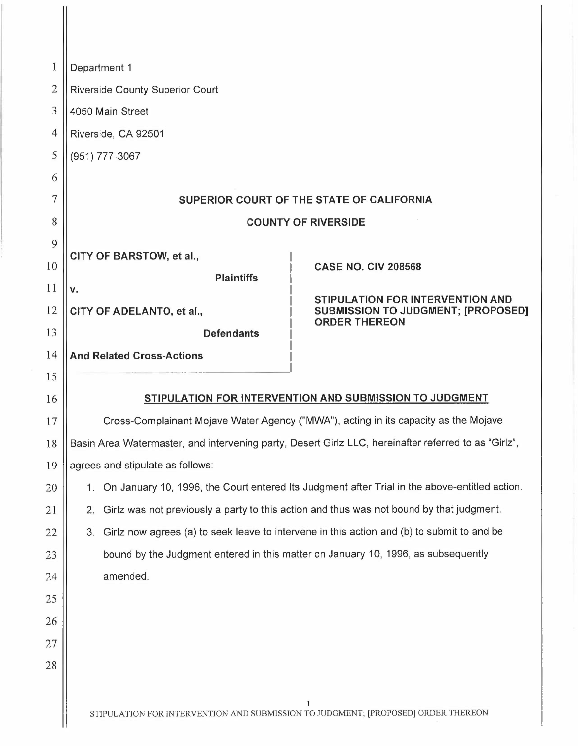| 1              | Department 1                                                                                               |  |  |
|----------------|------------------------------------------------------------------------------------------------------------|--|--|
| $\overline{2}$ | <b>Riverside County Superior Court</b>                                                                     |  |  |
| 3              | 4050 Main Street                                                                                           |  |  |
| 4              | Riverside, CA 92501                                                                                        |  |  |
| 5              | (951) 777-3067                                                                                             |  |  |
| 6              |                                                                                                            |  |  |
| 7              | SUPERIOR COURT OF THE STATE OF CALIFORNIA                                                                  |  |  |
| 8              | <b>COUNTY OF RIVERSIDE</b>                                                                                 |  |  |
| 9              |                                                                                                            |  |  |
| 10             | CITY OF BARSTOW, et al.,<br><b>CASE NO. CIV 208568</b>                                                     |  |  |
| 11             | <b>Plaintiffs</b><br>ν.                                                                                    |  |  |
| 12             | STIPULATION FOR INTERVENTION AND<br>CITY OF ADELANTO, et al.,<br><b>SUBMISSION TO JUDGMENT; [PROPOSED]</b> |  |  |
| 13             | <b>ORDER THEREON</b><br><b>Defendants</b>                                                                  |  |  |
| 14             | <b>And Related Cross-Actions</b>                                                                           |  |  |
| 15             |                                                                                                            |  |  |
| 16             | STIPULATION FOR INTERVENTION AND SUBMISSION TO JUDGMENT                                                    |  |  |
| 17             | Cross-Complainant Mojave Water Agency ("MWA"), acting in its capacity as the Mojave                        |  |  |
| 18             | Basin Area Watermaster, and intervening party, Desert Girlz LLC, hereinafter referred to as "Girlz",       |  |  |
| 19             | agrees and stipulate as follows:                                                                           |  |  |
| 20             | On January 10, 1996, the Court entered Its Judgment after Trial in the above-entitled action.<br>1.        |  |  |
| 21             | Girlz was not previously a party to this action and thus was not bound by that judgment.<br>2.             |  |  |
| 22             | Girlz now agrees (a) to seek leave to intervene in this action and (b) to submit to and be<br>3.           |  |  |
| 23             | bound by the Judgment entered in this matter on January 10, 1996, as subsequently                          |  |  |
| 24             | amended.                                                                                                   |  |  |
| 25             |                                                                                                            |  |  |
| 26             |                                                                                                            |  |  |
| 27             |                                                                                                            |  |  |
| 28             |                                                                                                            |  |  |
|                |                                                                                                            |  |  |
|                |                                                                                                            |  |  |

 $\parallel$ 

 $\frac{1}{2}$ 

I<br>STIPULATION FOR INTERVENTION AND SUBMISSION TO JUDGMENT; [PROPOSED] ORDER THEREON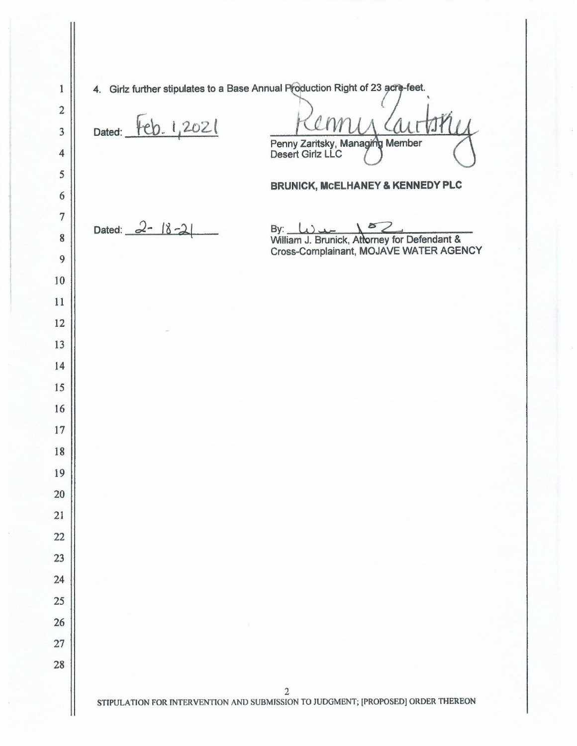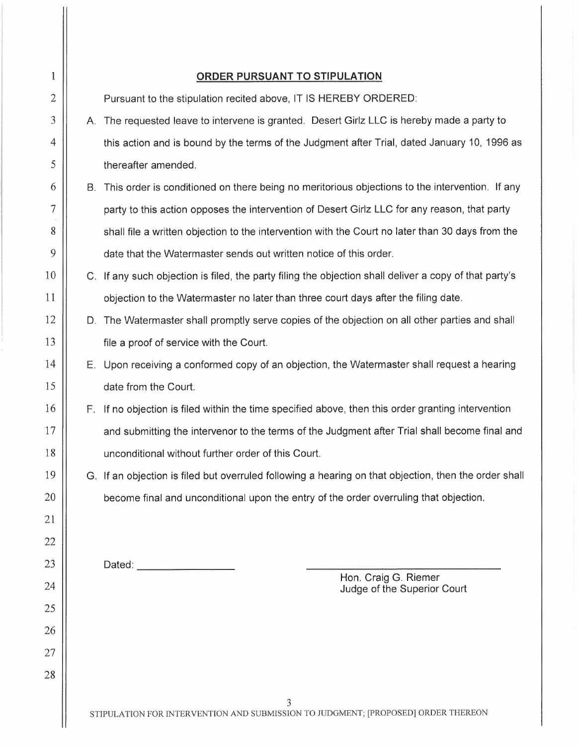| $\mathbf{1}$   |    | <b>ORDER PURSUANT TO STIPULATION</b>                                                                   |
|----------------|----|--------------------------------------------------------------------------------------------------------|
| 2              |    | Pursuant to the stipulation recited above, IT IS HEREBY ORDERED:                                       |
| 3              |    | A. The requested leave to intervene is granted. Desert Girlz LLC is hereby made a party to             |
| $\overline{4}$ |    | this action and is bound by the terms of the Judgment after Trial, dated January 10, 1996 as           |
| 5              |    | thereafter amended.                                                                                    |
| 6              |    | B. This order is conditioned on there being no meritorious objections to the intervention. If any      |
| 7              |    | party to this action opposes the intervention of Desert Girlz LLC for any reason, that party           |
| 8              |    | shall file a written objection to the intervention with the Court no later than 30 days from the       |
| 9              |    | date that the Watermaster sends out written notice of this order.                                      |
| 10             |    | C. If any such objection is filed, the party filing the objection shall deliver a copy of that party's |
| 11             |    | objection to the Watermaster no later than three court days after the filing date.                     |
| 12             |    | D. The Watermaster shall promptly serve copies of the objection on all other parties and shall         |
| 13             |    | file a proof of service with the Court.                                                                |
| 14             |    | E. Upon receiving a conformed copy of an objection, the Watermaster shall request a hearing            |
| 15             |    | date from the Court.                                                                                   |
| 16             | F. | If no objection is filed within the time specified above, then this order granting intervention        |
| 17             |    | and submitting the intervenor to the terms of the Judgment after Trial shall become final and          |
| 18             |    | unconditional without further order of this Court.                                                     |
| 19             |    | G. If an objection is filed but overruled following a hearing on that objection, then the order shall  |
| 20             |    | become final and unconditional upon the entry of the order overruling that objection.                  |
| 21             |    |                                                                                                        |
| 22             |    |                                                                                                        |
| 23             |    | Dated:<br>Hon. Craig G. Riemer                                                                         |
| 24             |    | Judge of the Superior Court                                                                            |
| 25             |    |                                                                                                        |
| 26             |    |                                                                                                        |
| 27             |    |                                                                                                        |
| 28             |    |                                                                                                        |
|                |    | 3<br>STIPULATION FOR INTERVENTION AND SUBMISSION TO JUDGMENT; [PROPOSED] ORDER THEREON                 |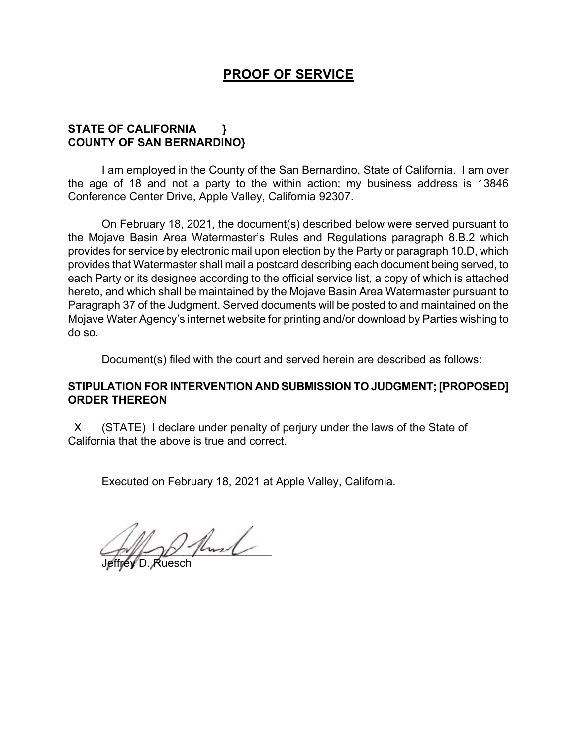## **PROOF OF SERVICE**

## **STATE OF CALIFORNIA } COUNTY OF SAN BERNARDINO}**

I am employed in the County of the San Bernardino, State of California. I am over the age of 18 and not a party to the within action; my business address is 13846 Conference Center Drive, Apple Valley, California 92307.

On February 18, 2021, the document(s) described below were served pursuant to the Mojave Basin Area Watermaster's Rules and Regulations paragraph 8.B.2 which provides for service by electronic mail upon election by the Party or paragraph 10.D, which provides that Watermaster shall mail a postcard describing each document being served, to each Party or its designee according to the official service list, a copy of which is attached hereto, and which shall be maintained by the Mojave Basin Area Watermaster pursuant to Paragraph 37 of the Judgment. Served documents will be posted to and maintained on the Mojave Water Agency's internet website for printing and/or download by Parties wishing to do so.

Document(s) filed with the court and served herein are described as follows:

## **STIPULATION FOR INTERVENTION AND SUBMISSION TO JUDGMENT; [PROPOSED] ORDER THEREON**

 $X$  (STATE) I declare under penalty of perjury under the laws of the State of California that the above is true and correct.

Executed on February 18, 2021 at Apple Valley, California.

 $2$  fluid

Jeffrey D. Ruesch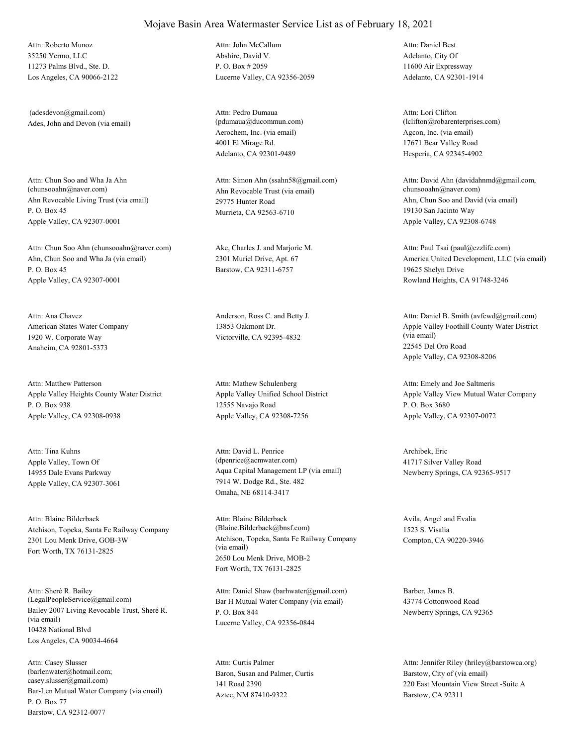35250 Yermo, LLC 11273 Palms Blvd., Ste. D. Los Angeles, CA 90066-2122 Attn: Roberto Munoz

Ades, John and Devon (via email) (adesdevon@gmail.com)

Ahn Revocable Living Trust (via email) P. O. Box 45 Apple Valley, CA 92307-0001 Attn: Chun Soo and Wha Ja Ahn<br>(chunsooahn@naver.com)

Ahn, Chun Soo and Wha Ja (via email) P. O. Box 45 Apple Valley, CA 92307-0001 Attn: Chun Soo Ahn (chunsooahn@naver.com) Ake, Charles J. and Marjorie M.

American States Water Company 1920 W. Corporate Way Anaheim, CA 92801-5373 Attn: Ana Chavez **Anderson, Ross C.** and Betty J.

Apple Valley Heights County Water District P. O. Box 938 Apple Valley, CA 92308-0938 Attn: Matthew Patterson

Apple Valley, Town Of 14955 Dale Evans Parkway Apple Valley, CA 92307-3061 Attn: Tina Kuhns

Atchison, Topeka, Santa Fe Railway Company 2301 Lou Menk Drive, GOB-3W Fort Worth, TX 76131-2825 Attn: Blaine Bilderback

Bailey 2007 Living Revocable Trust, Sheré R. (via email) 10428 National Blvd Los Angeles, CA 90034-4664 Attn: Sheré R. Bailey<br>(LegalPeopleService@gmail.com)

Bar-Len Mutual Water Company (via email) P. O. Box 77 Barstow, CA 92312-0077 Attn: Casey Slusser (barlenwater@hotmail.com; casey.slusser@gmail.com)

Abshire, David V. P. O. Box # 2059 Lucerne Valley, CA 92356-2059 Attn: John McCallum

Aerochem, Inc. (via email) 4001 El Mirage Rd. Adelanto, CA 92301-9489 Attn: Pedro Dumaua (pdumaua@ducommun.com)

Ahn Revocable Trust (via email) 29775 Hunter Road Murrieta, CA 92563-6710 Attn: Simon Ahn (ssahn58@gmail.com)

2301 Muriel Drive, Apt. 67 Barstow, CA 92311-6757

13853 Oakmont Dr. Victorville, CA 92395-4832

Apple Valley Unified School District 12555 Navajo Road Apple Valley, CA 92308-7256 Attn: Mathew Schulenberg

Aqua Capital Management LP (via email) 7914 W. Dodge Rd., Ste. 482 Omaha, NE 68114-3417 Attn: David L. Penrice (dpenrice@acmwater.com)

Atchison, Topeka, Santa Fe Railway Company (via email) 2650 Lou Menk Drive, MOB-2 Fort Worth, TX 76131-2825 Attn: Blaine Bilderback (Blaine.Bilderback@bnsf.com)

Bar H Mutual Water Company (via email) P. O. Box 844 Lucerne Valley, CA 92356-0844 Attn: Daniel Shaw (barhwater@gmail.com) Barber, James B.

Baron, Susan and Palmer, Curtis 141 Road 2390 Aztec, NM 87410-9322 Attn: Curtis Palmer

Adelanto, City Of 11600 Air Expressway Adelanto, CA 92301-1914 Attn: Daniel Best

Agcon, Inc. (via email) 17671 Bear Valley Road Hesperia, CA 92345-4902 Attn: Lori Clifton (lclifton@robarenterprises.com)

Ahn, Chun Soo and David (via email) 19130 San Jacinto Way Apple Valley, CA 92308-6748 Attn: David Ahn (davidahnmd@gmail.com, chunsooahn@naver.com)

America United Development, LLC (via email) 19625 Shelyn Drive Rowland Heights, CA 91748-3246 Attn: Paul Tsai (paul@ezzlife.com)

Apple Valley Foothill County Water District (via email) 22545 Del Oro Road Apple Valley, CA 92308-8206 Attn: Daniel B. Smith (avfcwd@gmail.com)

Apple Valley View Mutual Water Company P. O. Box 3680 Apple Valley, CA 92307-0072 Attn: Emely and Joe Saltmeris

Archibek, Eric 41717 Silver Valley Road Newberry Springs, CA 92365-9517

Avila, Angel and Evalia 1523 S. Visalia Compton, CA 90220-3946

43774 Cottonwood Road Newberry Springs, CA 92365

Barstow, City of (via email) 220 East Mountain View Street -Suite A Barstow, CA 92311 Attn: Jennifer Riley (hriley@barstowca.org)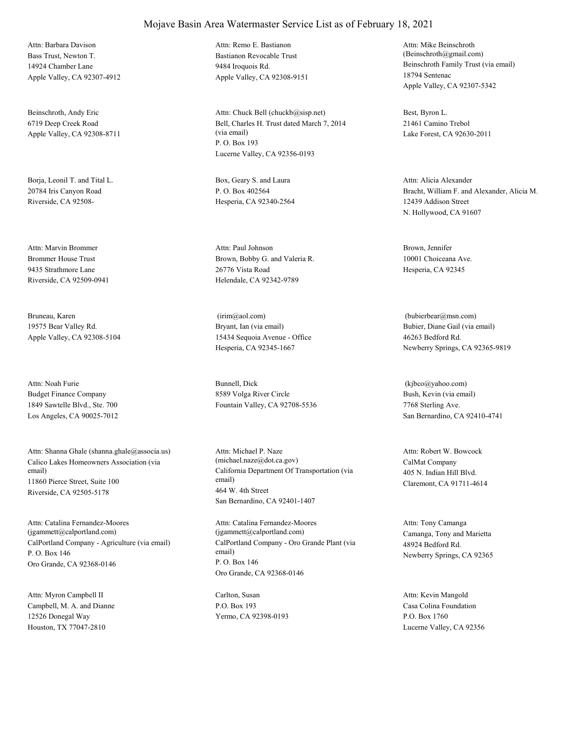Bass Trust, Newton T. 14924 Chamber Lane Apple Valley, CA 92307-4912 Attn: Barbara Davison

Beinschroth, Andy Eric 6719 Deep Creek Road Apple Valley, CA 92308-8711

Borja, Leonil T. and Tital L. 20784 Iris Canyon Road Riverside, CA 92508-

Brommer House Trust 9435 Strathmore Lane Riverside, CA 92509-0941 Attn: Marvin Brommer

Bruneau, Karen 19575 Bear Valley Rd. Apple Valley, CA 92308-5104

Budget Finance Company 1849 Sawtelle Blvd., Ste. 700 Los Angeles, CA 90025-7012 Attn: Noah Furie Bunnell, Dick

Calico Lakes Homeowners Association (via email) 11860 Pierce Street, Suite 100 Riverside, CA 92505-5178 Attn: Shanna Ghale (shanna.ghale@associa.us)

CalPortland Company - Agriculture (via email) P. O. Box 146 Oro Grande, CA 92368-0146 Attn: Catalina Fernandez-Moores (jgammett@calportland.com)

Campbell, M. A. and Dianne 12526 Donegal Way Houston, TX 77047-2810 Attn: Myron Campbell II Carlton, Susan

#### Mojave Basin Area Watermaster Service List as of February 18, 2021

Bastianon Revocable Trust 9484 Iroquois Rd. Apple Valley, CA 92308-9151 Attn: Remo E. Bastianon

Bell, Charles H. Trust dated March 7, 2014 (via email) P. O. Box 193 Lucerne Valley, CA 92356-0193 Attn: Chuck Bell (chuckb@sisp.net) Best, Byron L.

Box, Geary S. and Laura P. O. Box 402564 Hesperia, CA 92340-2564

Brown, Bobby G. and Valeria R. 26776 Vista Road Helendale, CA 92342-9789 Attn: Paul Johnson Brown, Jennifer

Bryant, Ian (via email) 15434 Sequoia Avenue - Office Hesperia, CA 92345-1667 (irim@aol.com)

8589 Volga River Circle Fountain Valley, CA 92708-5536

California Department Of Transportation (via email) 464 W. 4th Street San Bernardino, CA 92401-1407 Attn: Michael P. Naze (michael.naze@dot.ca.gov) CalMat Company

CalPortland Company - Oro Grande Plant (via email) P. O. Box 146 Oro Grande, CA 92368-0146 Attn: Catalina Fernandez-Moores (jgammett@calportland.com) Camanga, Tony and Marietta

P.O. Box 193 Yermo, CA 92398-0193 Beinschroth Family Trust (via email) 18794 Sentenac Apple Valley, CA 92307-5342 Attn: Mike Beinschroth (Beinschroth@gmail.com)

21461 Camino Trebol Lake Forest, CA 92630-2011

Bracht, William F. and Alexander, Alicia M. 12439 Addison Street N. Hollywood, CA 91607 Attn: Alicia Alexander

10001 Choiceana Ave. Hesperia, CA 92345

Bubier, Diane Gail (via email) 46263 Bedford Rd. Newberry Springs, CA 92365-9819 (bubierbear@msn.com)

Bush, Kevin (via email) 7768 Sterling Ave. San Bernardino, CA 92410-4741 (kjbco@yahoo.com)

405 N. Indian Hill Blvd. Claremont, CA 91711-4614 Attn: Robert W. Bowcock

48924 Bedford Rd. Newberry Springs, CA 92365 Attn: Tony Camanga

Casa Colina Foundation P.O. Box 1760 Lucerne Valley, CA 92356 Attn: Kevin Mangold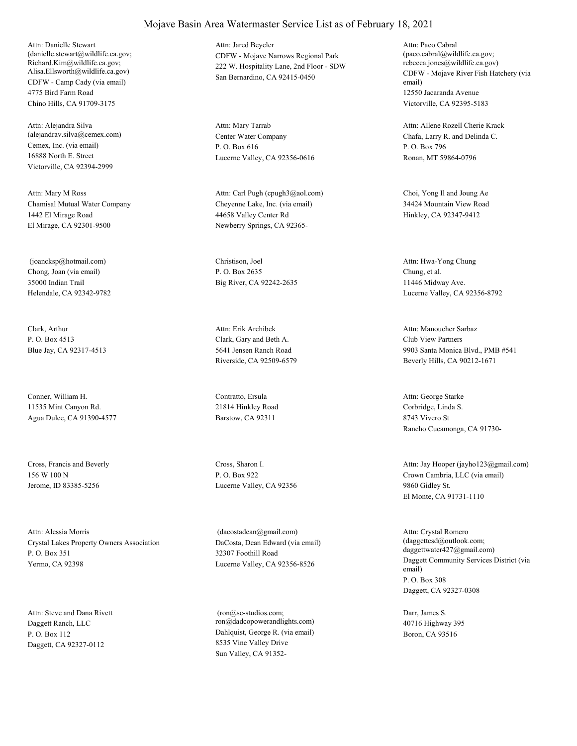CDFW - Camp Cady (via email) 4775 Bird Farm Road Chino Hills, CA 91709-3175 Attn: Danielle Stewart (danielle.stewart@wildlife.ca.gov; Richard.Kim@wildlife.ca.gov; Alisa.Ellsworth@wildlife.ca.gov)

Cemex, Inc. (via email) 16888 North E. Street Victorville, CA 92394-2999 Attn: Alejandra Silva (alejandrav.silva@cemex.com) Center Water Company

Chamisal Mutual Water Company 1442 El Mirage Road El Mirage, CA 92301-9500 Attn: Mary M Ross

Chong, Joan (via email) 35000 Indian Trail Helendale, CA 92342-9782 (joancksp@hotmail.com) Christison, Joel

Clark, Arthur P. O. Box 4513 Blue Jay, CA 92317-4513

Conner, William H. 11535 Mint Canyon Rd. Agua Dulce, CA 91390-4577

Cross, Francis and Beverly 156 W 100 N Jerome, ID 83385-5256

Crystal Lakes Property Owners Association P. O. Box 351 Yermo, CA 92398 Attn: Alessia Morris

Daggett Ranch, LLC P. O. Box 112 Daggett, CA 92327-0112 Attn: Steve and Dana Rivett CDFW - Mojave Narrows Regional Park 222 W. Hospitality Lane, 2nd Floor - SDW San Bernardino, CA 92415-0450 Attn: Jared Beyeler

P. O. Box 616 Lucerne Valley, CA 92356-0616 Attn: Mary Tarrab

Cheyenne Lake, Inc. (via email) 44658 Valley Center Rd Newberry Springs, CA 92365- Attn: Carl Pugh (cpugh3@aol.com) Choi, Yong Il and Joung Ae

P. O. Box 2635 Big River, CA 92242-2635

Clark, Gary and Beth A. 5641 Jensen Ranch Road Riverside, CA 92509-6579 Attn: Erik Archibek

Contratto, Ersula 21814 Hinkley Road Barstow, CA 92311

Cross, Sharon I. P. O. Box 922 Lucerne Valley, CA 92356

DaCosta, Dean Edward (via email) 32307 Foothill Road Lucerne Valley, CA 92356-8526 (dacostadean@gmail.com)

Dahlquist, George R. (via email) 8535 Vine Valley Drive Sun Valley, CA 91352- (ron@sc-studios.com; ron@dadcopowerandlights.com)

CDFW - Mojave River Fish Hatchery (via email) 12550 Jacaranda Avenue Victorville, CA 92395-5183 Attn: Paco Cabral (paco.cabral@wildlife.ca.gov; rebecca.jones@wildlife.ca.gov)

Chafa, Larry R. and Delinda C. P. O. Box 796 Ronan, MT 59864-0796 Attn: Allene Rozell Cherie Krack

34424 Mountain View Road Hinkley, CA 92347-9412

Chung, et al. 11446 Midway Ave. Lucerne Valley, CA 92356-8792 Attn: Hwa-Yong Chung

Club View Partners 9903 Santa Monica Blvd., PMB #541 Beverly Hills, CA 90212-1671 Attn: Manoucher Sarbaz

Corbridge, Linda S. 8743 Vivero St Rancho Cucamonga, CA 91730- Attn: George Starke

Crown Cambria, LLC (via email) 9860 Gidley St. El Monte, CA 91731-1110 Attn: Jay Hooper (jayho123@gmail.com)

Daggett Community Services District (via email) P. O. Box 308 Daggett, CA 92327-0308 Attn: Crystal Romero (daggettcsd@outlook.com; daggettwater427@gmail.com)

Darr, James S. 40716 Highway 395 Boron, CA 93516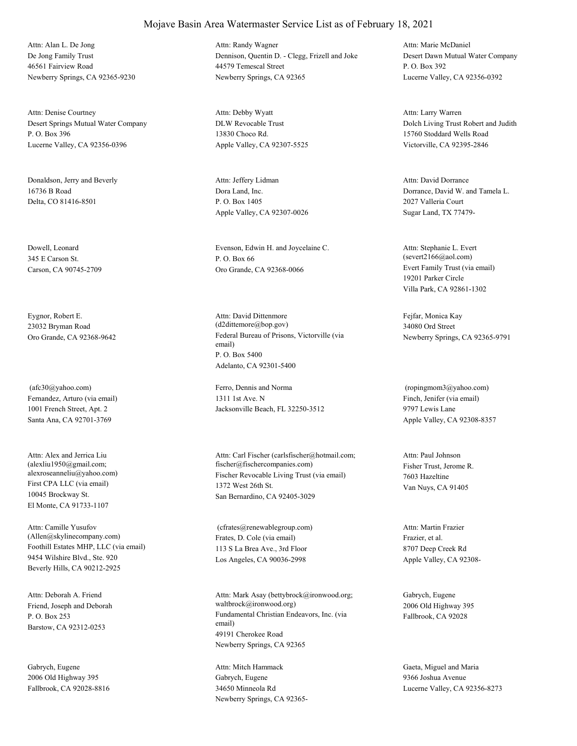De Jong Family Trust 46561 Fairview Road Newberry Springs, CA 92365-9230 Attn: Alan L. De Jong

Desert Springs Mutual Water Company P. O. Box 396 Lucerne Valley, CA 92356-0396 Attn: Denise Courtney

Donaldson, Jerry and Beverly 16736 B Road Delta, CO 81416-8501

Dowell, Leonard 345 E Carson St. Carson, CA 90745-2709

Eygnor, Robert E. 23032 Bryman Road

Fernandez, Arturo (via email) 1001 French Street, Apt. 2 Santa Ana, CA 92701-3769 (afc30@yahoo.com) Ferro, Dennis and Norma

First CPA LLC (via email) 10045 Brockway St. El Monte, CA 91733-1107 Attn: Alex and Jerrica Liu (alexliu1950@gmail.com;

Foothill Estates MHP, LLC (via email) 9454 Wilshire Blvd., Ste. 920 Beverly Hills, CA 90212-2925 Attn: Camille Yusufov (Allen@skylinecompany.com) Frates, D. Cole (via email)

Friend, Joseph and Deborah P. O. Box 253 Barstow, CA 92312-0253 Attn: Deborah A. Friend

Gabrych, Eugene 2006 Old Highway 395 Fallbrook, CA 92028-8816 Dennison, Quentin D. - Clegg, Frizell and Joke 44579 Temescal Street Newberry Springs, CA 92365 Attn: Randy Wagner

DLW Revocable Trust 13830 Choco Rd. Apple Valley, CA 92307-5525 Attn: Debby Wyatt

Dora Land, Inc. P. O. Box 1405 Apple Valley, CA 92307-0026 Attn: Jeffery Lidman

Evenson, Edwin H. and Joycelaine C. P. O. Box 66 Oro Grande, CA 92368-0066 Evert Family Trust (via email)

Oro Grande, CA 92368-9642 Federal Bureau of Prisons, Victorville (via email) P. O. Box 5400 Adelanto, CA 92301-5400 Attn: David Dittenmore (d2dittemore@bop.gov)

> 1311 1st Ave. N Jacksonville Beach, FL 32250-3512

alexroseanneliu@yahoo.com) Fischer Revocable Living Trust (via email) 1372 West 26th St. San Bernardino, CA 92405-3029 Attn: Carl Fischer (carlsfischer@hotmail.com; fischer@fischercompanies.com) Fisher Trust, Jerome R.

> 113 S La Brea Ave., 3rd Floor Los Angeles, CA 90036-2998 (cfrates@renewablegroup.com)

Fundamental Christian Endeavors, Inc. (via email) 49191 Cherokee Road Newberry Springs, CA 92365 Attn: Mark Asay (bettybrock@ironwood.org; waltbrock@ironwood.org)

Gabrych, Eugene 34650 Minneola Rd Newberry Springs, CA 92365-

Desert Dawn Mutual Water Company P. O. Box 392 Lucerne Valley, CA 92356-0392 Attn: Marie McDaniel

Dolch Living Trust Robert and Judith 15760 Stoddard Wells Road Victorville, CA 92395-2846 Attn: Larry Warren

Dorrance, David W. and Tamela L. 2027 Valleria Court Sugar Land, TX 77479- Attn: David Dorrance

19201 Parker Circle Villa Park, CA 92861-1302 Attn: Stephanie L. Evert (severt2166@aol.com)

Fejfar, Monica Kay 34080 Ord Street Newberry Springs, CA 92365-9791

Finch, Jenifer (via email) 9797 Lewis Lane Apple Valley, CA 92308-8357 (ropingmom3@yahoo.com)

7603 Hazeltine Van Nuys, CA 91405 Attn: Paul Johnson

Frazier, et al. 8707 Deep Creek Rd Apple Valley, CA 92308- Attn: Martin Frazier

Gabrych, Eugene 2006 Old Highway 395 Fallbrook, CA 92028

Attn: Mitch Hammack Gaeta, Miguel and Maria 9366 Joshua Avenue Lucerne Valley, CA 92356-8273

#### Mojave Basin Area Watermaster Service List as of February 18, 2021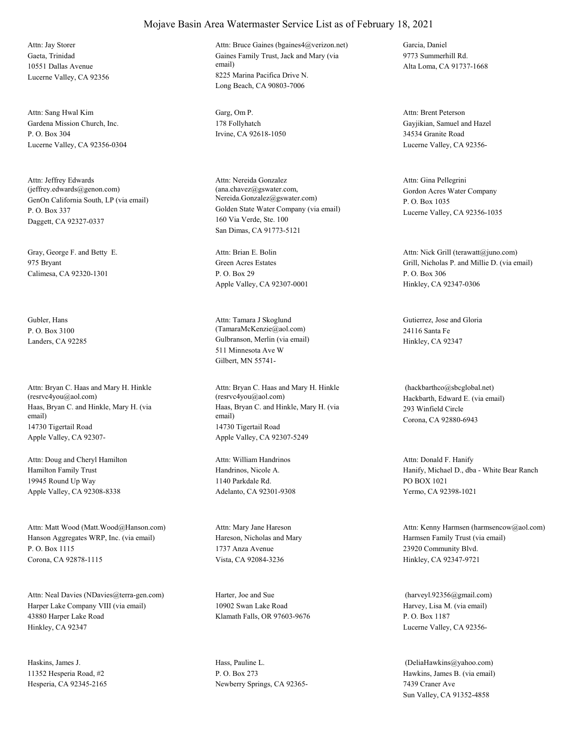Gaeta, Trinidad 10551 Dallas Avenue Lucerne Valley, CA 92356 Attn: Jay Storer

Gardena Mission Church, Inc. P. O. Box 304 Lucerne Valley, CA 92356-0304 Attn: Sang Hwal Kim Garg, Om P.

GenOn California South, LP (via email) P. O. Box 337 Daggett, CA 92327-0337 Attn: Jeffrey Edwards (jeffrey.edwards@genon.com)

Gray, George F. and Betty E. 975 Bryant Calimesa, CA 92320-1301

Gubler, Hans P. O. Box 3100

Haas, Bryan C. and Hinkle, Mary H. (via email) 14730 Tigertail Road Apple Valley, CA 92307- Attn: Bryan C. Haas and Mary H. Hinkle (resrvc4you@aol.com)

Hamilton Family Trust 19945 Round Up Way Apple Valley, CA 92308-8338 Attn: Doug and Cheryl Hamilton

Hanson Aggregates WRP, Inc. (via email) P. O. Box 1115 Corona, CA 92878-1115 Attn: Matt Wood (Matt.Wood@Hanson.com)

Harper Lake Company VIII (via email) 43880 Harper Lake Road Hinkley, CA 92347 Attn: Neal Davies (NDavies@terra-gen.com) Harter, Joe and Sue

Haskins, James J. 11352 Hesperia Road, #2 Hesperia, CA 92345-2165 Gaines Family Trust, Jack and Mary (via email) 8225 Marina Pacifica Drive N. Long Beach, CA 90803-7006 Attn: Bruce Gaines (bgaines4@verizon.net) Garcia, Daniel

178 Follyhatch Irvine, CA 92618-1050

Golden State Water Company (via email) 160 Via Verde, Ste. 100 San Dimas, CA 91773-5121 Attn: Nereida Gonzalez (ana.chavez@gswater.com, Nereida.Gonzalez@gswater.com)

Green Acres Estates P. O. Box 29 Apple Valley, CA 92307-0001 Attn: Brian E. Bolin

Landers, CA 92285 Gulbranson, Merlin (via email) 511 Minnesota Ave W Gilbert, MN 55741- Attn: Tamara J Skoglund (TamaraMcKenzie@aol.com)

> Haas, Bryan C. and Hinkle, Mary H. (via email) 14730 Tigertail Road Apple Valley, CA 92307-5249 Attn: Bryan C. Haas and Mary H. Hinkle (resrvc4you@aol.com) Hackbarth, Edward E. (via email)

Handrinos, Nicole A. 1140 Parkdale Rd. Adelanto, CA 92301-9308 Attn: William Handrinos

Hareson, Nicholas and Mary 1737 Anza Avenue Vista, CA 92084-3236 Attn: Mary Jane Hareson

10902 Swan Lake Road Klamath Falls, OR 97603-9676

Hass, Pauline L. P. O. Box 273 Newberry Springs, CA 923659773 Summerhill Rd. Alta Loma, CA 91737-1668

Gayjikian, Samuel and Hazel 34534 Granite Road Lucerne Valley, CA 92356- Attn: Brent Peterson

Gordon Acres Water Company P. O. Box 1035 Lucerne Valley, CA 92356-1035 Attn: Gina Pellegrini

Grill, Nicholas P. and Millie D. (via email) P. O. Box 306 Hinkley, CA 92347-0306 Attn: Nick Grill (terawatt@juno.com)

Gutierrez, Jose and Gloria 24116 Santa Fe Hinkley, CA 92347

293 Winfield Circle Corona, CA 92880-6943 (hackbarthco@sbcglobal.net)

Hanify, Michael D., dba - White Bear Ranch PO BOX 1021 Yermo, CA 92398-1021 Attn: Donald F. Hanify

Harmsen Family Trust (via email) 23920 Community Blvd. Hinkley, CA 92347-9721 Attn: Kenny Harmsen (harmsencow@aol.com)

Harvey, Lisa M. (via email) P. O. Box 1187 Lucerne Valley, CA 92356- (harveyl.92356@gmail.com)

Hawkins, James B. (via email) 7439 Craner Ave Sun Valley, CA 91352-4858 (DeliaHawkins@yahoo.com)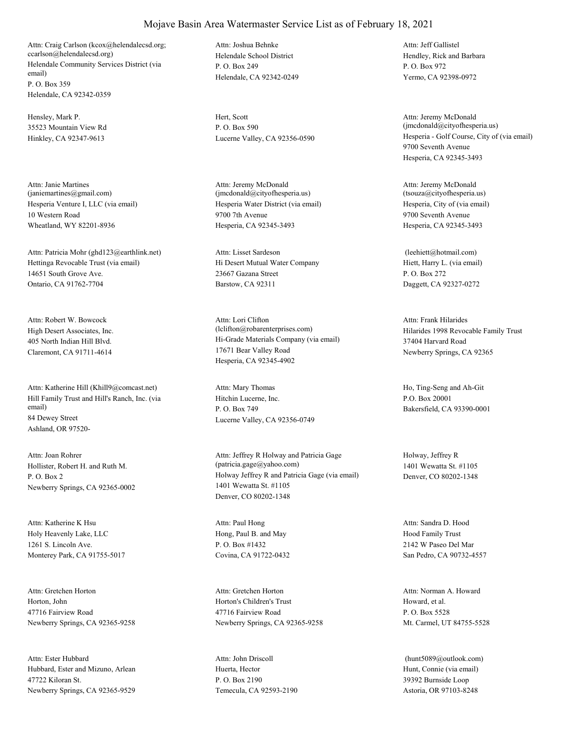Helendale Community Services District (via email) P. O. Box 359 Helendale, CA 92342-0359 Attn: Craig Carlson (kcox@helendalecsd.org; ccarlson@helendalecsd.org) Helendale School District

Hensley, Mark P. 35523 Mountain View Rd Hinkley, CA 92347-9613

Hesperia Venture I, LLC (via email) 10 Western Road Wheatland, WY 82201-8936 Attn: Janie Martines (janiemartines@gmail.com)

Hettinga Revocable Trust (via email) 14651 South Grove Ave. Ontario, CA 91762-7704 Attn: Patricia Mohr (ghd123@earthlink.net)

High Desert Associates, Inc. 405 North Indian Hill Blvd. Claremont, CA 91711-4614 Attn: Robert W. Bowcock

Hill Family Trust and Hill's Ranch, Inc. (via email) 84 Dewey Street Ashland, OR 97520- Attn: Katherine Hill (Khill9@comcast.net)

Hollister, Robert H. and Ruth M. P. O. Box 2 Newberry Springs, CA 92365-0002 Attn: Joan Rohrer

Holy Heavenly Lake, LLC 1261 S. Lincoln Ave. Monterey Park, CA 91755-5017 Attn: Katherine K Hsu

Horton, John 47716 Fairview Road Newberry Springs, CA 92365-9258 Attn: Gretchen Horton

Hubbard, Ester and Mizuno, Arlean 47722 Kiloran St. Newberry Springs, CA 92365-9529 Attn: Ester Hubbard

P. O. Box 249 Helendale, CA 92342-0249 Attn: Joshua Behnke

Hert, Scott P. O. Box 590

Hesperia Water District (via email) 9700 7th Avenue Hesperia, CA 92345-3493 Attn: Jeremy McDonald (jmcdonald@cityofhesperia.us)

Hi Desert Mutual Water Company 23667 Gazana Street Barstow, CA 92311 Attn: Lisset Sardeson

Hi-Grade Materials Company (via email) 17671 Bear Valley Road Hesperia, CA 92345-4902 Attn: Lori Clifton (lclifton@robarenterprises.com) Hilarides 1998 Revocable Family Trust

Hitchin Lucerne, Inc. P. O. Box 749 Lucerne Valley, CA 92356-0749

Holway Jeffrey R and Patricia Gage (via email) 1401 Wewatta St. #1105 Denver, CO 80202-1348 Attn: Jeffrey R Holway and Patricia Gage (patricia.gage@yahoo.com)

Hong, Paul B. and May P. O. Box #1432 Covina, CA 91722-0432 Attn: Paul Hong

Horton's Children's Trust 47716 Fairview Road Newberry Springs, CA 92365-9258 Attn: Gretchen Horton

Huerta, Hector P. O. Box 2190 Temecula, CA 92593-2190 Attn: John Driscoll

Hendley, Rick and Barbara P. O. Box 972 Yermo, CA 92398-0972 Attn: Jeff Gallistel

Lucerne Valley, CA 92356-0590 Hesperia - Golf Course, City of (via email) 9700 Seventh Avenue Hesperia, CA 92345-3493 Attn: Jeremy McDonald (jmcdonald@cityofhesperia.us)

> Hesperia, City of (via email) 9700 Seventh Avenue Hesperia, CA 92345-3493 Attn: Jeremy McDonald (tsouza@cityofhesperia.us)

Hiett, Harry L. (via email) P. O. Box 272 Daggett, CA 92327-0272 (leehiett@hotmail.com)

37404 Harvard Road Newberry Springs, CA 92365 Attn: Frank Hilarides

Attn: Mary Thomas Ho, Ting-Seng and Ah-Git P.O. Box 20001 Bakersfield, CA 93390-0001

> Holway, Jeffrey R 1401 Wewatta St. #1105 Denver, CO 80202-1348

Hood Family Trust 2142 W Paseo Del Mar San Pedro, CA 90732-4557 Attn: Sandra D. Hood

Howard, et al. P. O. Box 5528 Mt. Carmel, UT 84755-5528 Attn: Norman A. Howard

Hunt, Connie (via email) 39392 Burnside Loop Astoria, OR 97103-8248 (hunt5089@outlook.com)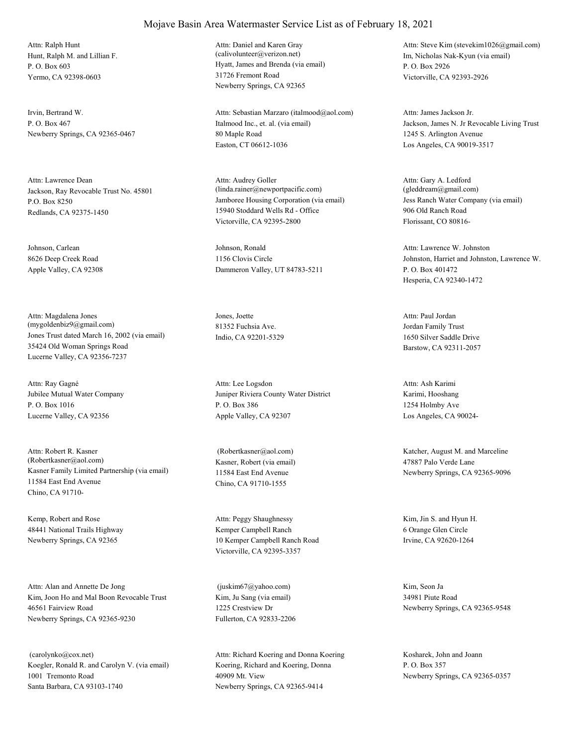Hunt, Ralph M. and Lillian F. P. O. Box 603 Yermo, CA 92398-0603 Attn: Ralph Hunt

Irvin, Bertrand W. P. O. Box 467 Newberry Springs, CA 92365-0467

Jackson, Ray Revocable Trust No. 45801 P.O. Box 8250 Redlands, CA 92375-1450 Attn: Lawrence Dean

Johnson, Carlean 8626 Deep Creek Road Apple Valley, CA 92308

Jones Trust dated March 16, 2002 (via email) 35424 Old Woman Springs Road Lucerne Valley, CA 92356-7237 Attn: Magdalena Jones (mygoldenbiz9@gmail.com)

Jubilee Mutual Water Company P. O. Box 1016 Lucerne Valley, CA 92356 Attn: Ray Gagné

Kasner Family Limited Partnership (via email) 11584 East End Avenue Chino, CA 91710- Attn: Robert R. Kasner (Robertkasner@aol.com) Kasner, Robert (via email)

Kemp, Robert and Rose 48441 National Trails Highway Newberry Springs, CA 92365

Kim, Joon Ho and Mal Boon Revocable Trust 46561 Fairview Road Newberry Springs, CA 92365-9230 Attn: Alan and Annette De Jong

Koegler, Ronald R. and Carolyn V. (via email) 1001 Tremonto Road Santa Barbara, CA 93103-1740 (carolynko@cox.net)

#### Mojave Basin Area Watermaster Service List as of February 18, 2021

Hyatt, James and Brenda (via email) 31726 Fremont Road Newberry Springs, CA 92365 Attn: Daniel and Karen Gray (calivolunteer@verizon.net) Im, Nicholas Nak-Kyun (via email)

Italmood Inc., et. al. (via email) 80 Maple Road Easton, CT 06612-1036 Attn: Sebastian Marzaro (italmood@aol.com)

Jamboree Housing Corporation (via email) 15940 Stoddard Wells Rd - Office Victorville, CA 92395-2800 Attn: Audrey Goller (linda.rainer@newportpacific.com)

Johnson, Ronald 1156 Clovis Circle Dammeron Valley, UT 84783-5211

Jones, Joette 81352 Fuchsia Ave. Indio, CA 92201-5329

Juniper Riviera County Water District P. O. Box 386 Apple Valley, CA 92307 Attn: Lee Logsdon

11584 East End Avenue Chino, CA 91710-1555

Kemper Campbell Ranch 10 Kemper Campbell Ranch Road Victorville, CA 92395-3357 Attn: Peggy Shaughnessy Kim, Jin S. and Hyun H.

Kim, Ju Sang (via email) 1225 Crestview Dr Fullerton, CA 92833-2206 (juskim67@yahoo.com) Kim, Seon Ja

Koering, Richard and Koering, Donna 40909 Mt. View Newberry Springs, CA 92365-9414 Attn: Richard Koering and Donna Koering Kosharek, John and Joann

P. O. Box 2926 Victorville, CA 92393-2926 Attn: Steve Kim (stevekim1026@gmail.com)

Jackson, James N. Jr Revocable Living Trust 1245 S. Arlington Avenue Los Angeles, CA 90019-3517 Attn: James Jackson Jr.

Jess Ranch Water Company (via email) 906 Old Ranch Road Florissant, CO 80816- Attn: Gary A. Ledford (gleddream@gmail.com)

Johnston, Harriet and Johnston, Lawrence W. P. O. Box 401472 Hesperia, CA 92340-1472 Attn: Lawrence W. Johnston

Jordan Family Trust 1650 Silver Saddle Drive Barstow, CA 92311-2057 Attn: Paul Jordan

Karimi, Hooshang 1254 Holmby Ave Los Angeles, CA 90024- Attn: Ash Karimi

 (Robertkasner@aol.com) Katcher, August M. and Marceline 47887 Palo Verde Lane Newberry Springs, CA 92365-9096

> 6 Orange Glen Circle Irvine, CA 92620-1264

34981 Piute Road Newberry Springs, CA 92365-9548

P. O. Box 357 Newberry Springs, CA 92365-0357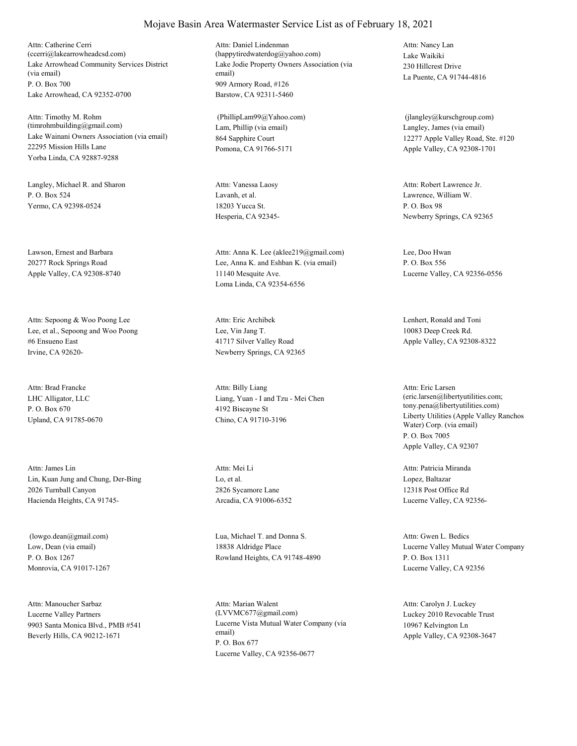Lake Arrowhead Community Services District (via email) P. O. Box 700 Lake Arrowhead, CA 92352-0700 Attn: Catherine Cerri (ccerri@lakearrowheadcsd.com)

Lake Wainani Owners Association (via email) 22295 Mission Hills Lane Yorba Linda, CA 92887-9288 Attn: Timothy M. Rohm (timrohmbuilding@gmail.com) Lam, Phillip (via email)

Langley, Michael R. and Sharon P. O. Box 524 Yermo, CA 92398-0524

Lawson, Ernest and Barbara 20277 Rock Springs Road Apple Valley, CA 92308-8740

Lee, et al., Sepoong and Woo Poong #6 Ensueno East Irvine, CA 92620- Attn: Sepoong & Woo Poong Lee

LHC Alligator, LLC P. O. Box 670 Upland, CA 91785-0670 Attn: Brad Francke

Lin, Kuan Jung and Chung, Der-Bing 2026 Turnball Canyon Hacienda Heights, CA 91745- Attn: James Lin

Low, Dean (via email) P. O. Box 1267 Monrovia, CA 91017-1267

Lucerne Valley Partners 9903 Santa Monica Blvd., PMB #541 Beverly Hills, CA 90212-1671 Attn: Manoucher Sarbaz

Lake Jodie Property Owners Association (via email) 909 Armory Road, #126 Barstow, CA 92311-5460 Attn: Daniel Lindenman (happytiredwaterdog@yahoo.com) Lake Waikiki

864 Sapphire Court Pomona, CA 91766-5171 (PhillipLam99@Yahoo.com)

Lavanh, et al. 18203 Yucca St. Hesperia, CA 92345- Attn: Vanessa Laosy

Lee, Anna K. and Eshban K. (via email) 11140 Mesquite Ave. Loma Linda, CA 92354-6556 Attn: Anna K. Lee (aklee219@gmail.com) Lee, Doo Hwan

Lee, Vin Jang T. 41717 Silver Valley Road Newberry Springs, CA 92365 Attn: Eric Archibek Lenhert, Ronald and Toni

Liang, Yuan - I and Tzu - Mei Chen 4192 Biscayne St Chino, CA 91710-3196 Attn: Billy Liang

Lo, et al. 2826 Sycamore Lane Arcadia, CA 91006-6352 Attn: Mei Li

 (lowgo.dean@gmail.com) Lua, Michael T. and Donna S. 18838 Aldridge Place Rowland Heights, CA 91748-4890

> Lucerne Vista Mutual Water Company (via email) P. O. Box 677 Lucerne Valley, CA 92356-0677 Attn: Marian Walent (LVVMC677@gmail.com) Luckey 2010 Revocable Trust

230 Hillcrest Drive La Puente, CA 91744-4816 Attn: Nancy Lan

Langley, James (via email) 12277 Apple Valley Road, Ste. #120 Apple Valley, CA 92308-1701 (jlangley@kurschgroup.com)

Lawrence, William W. P. O. Box 98 Newberry Springs, CA 92365 Attn: Robert Lawrence Jr.

P. O. Box 556 Lucerne Valley, CA 92356-0556

10083 Deep Creek Rd. Apple Valley, CA 92308-8322

Liberty Utilities (Apple Valley Ranchos Water) Corp. (via email) P. O. Box 7005 Apple Valley, CA 92307 Attn: Eric Larsen (eric.larsen@libertyutilities.com; tony.pena@libertyutilities.com)

Lopez, Baltazar 12318 Post Office Rd Lucerne Valley, CA 92356- Attn: Patricia Miranda

Lucerne Valley Mutual Water Company P. O. Box 1311 Lucerne Valley, CA 92356 Attn: Gwen L. Bedics

10967 Kelvington Ln Apple Valley, CA 92308-3647 Attn: Carolyn J. Luckey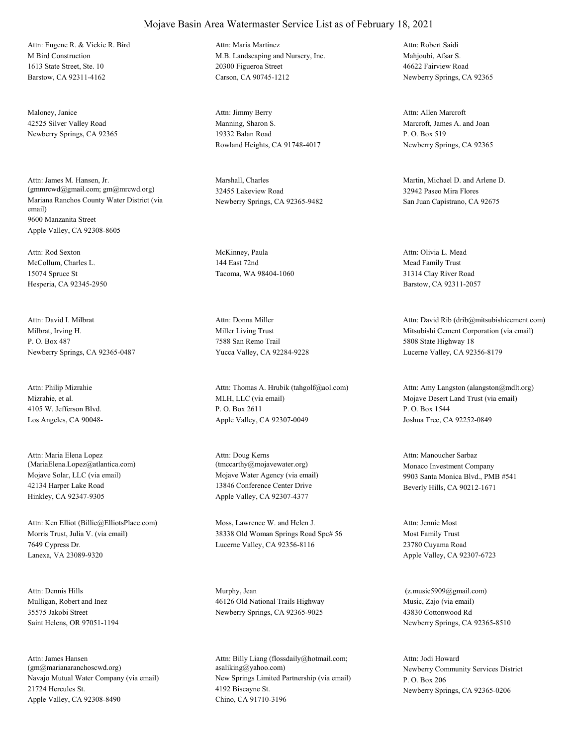M Bird Construction 1613 State Street, Ste. 10 Barstow, CA 92311-4162 Attn: Eugene R. & Vickie R. Bird

Maloney, Janice 42525 Silver Valley Road Newberry Springs, CA 92365

Mariana Ranchos County Water District (via email) 9600 Manzanita Street Apple Valley, CA 92308-8605 Attn: James M. Hansen, Jr. (gmmrcwd@gmail.com; gm@mrcwd.org)

McCollum, Charles L. 15074 Spruce St Hesperia, CA 92345-2950 Attn: Rod Sexton McKinney, Paula

Milbrat, Irving H. P. O. Box 487 Newberry Springs, CA 92365-0487 Attn: David I. Milbrat

Mizrahie, et al. 4105 W. Jefferson Blvd. Los Angeles, CA 90048- Attn: Philip Mizrahie

Mojave Solar, LLC (via email) 42134 Harper Lake Road Hinkley, CA 92347-9305 Attn: Maria Elena Lopez (MariaElena.Lopez@atlantica.com)

Morris Trust, Julia V. (via email) 7649 Cypress Dr. Lanexa, VA 23089-9320 Attn: Ken Elliot (Billie@ElliotsPlace.com) Moss, Lawrence W. and Helen J.

Mulligan, Robert and Inez 35575 Jakobi Street Saint Helens, OR 97051-1194 Attn: Dennis Hills Murphy, Jean

Navajo Mutual Water Company (via email) 21724 Hercules St. Apple Valley, CA 92308-8490 Attn: James Hansen (gm@marianaranchoscwd.org)

# Mojave Basin Area Watermaster Service List as of February 18, 2021

M.B. Landscaping and Nursery, Inc. 20300 Figueroa Street Carson, CA 90745-1212 Attn: Maria Martinez

Manning, Sharon S. 19332 Balan Road Rowland Heights, CA 91748-4017 Attn: Jimmy Berry

Marshall, Charles 32455 Lakeview Road Newberry Springs, CA 92365-9482

144 East 72nd Tacoma, WA 98404-1060

Miller Living Trust 7588 San Remo Trail Yucca Valley, CA 92284-9228 Attn: Donna Miller

MLH, LLC (via email) P. O. Box 2611 Apple Valley, CA 92307-0049 Attn: Thomas A. Hrubik (tahgolf@aol.com)

Mojave Water Agency (via email) 13846 Conference Center Drive Apple Valley, CA 92307-4377 Attn: Doug Kerns (tmccarthy@mojavewater.org) Monaco Investment Company

38338 Old Woman Springs Road Spc# 56 Lucerne Valley, CA 92356-8116

46126 Old National Trails Highway Newberry Springs, CA 92365-9025

New Springs Limited Partnership (via email) 4192 Biscayne St. Chino, CA 91710-3196 Attn: Billy Liang (flossdaily@hotmail.com; asaliking@yahoo.com) Newberry Community Services District

Mahjoubi, Afsar S. 46622 Fairview Road Newberry Springs, CA 92365 Attn: Robert Saidi

Marcroft, James A. and Joan P. O. Box 519 Newberry Springs, CA 92365 Attn: Allen Marcroft

Martin, Michael D. and Arlene D. 32942 Paseo Mira Flores San Juan Capistrano, CA 92675

Mead Family Trust 31314 Clay River Road Barstow, CA 92311-2057 Attn: Olivia L. Mead

Mitsubishi Cement Corporation (via email) 5808 State Highway 18 Lucerne Valley, CA 92356-8179 Attn: David Rib (drib@mitsubishicement.com)

Mojave Desert Land Trust (via email) P. O. Box 1544 Joshua Tree, CA 92252-0849 Attn: Amy Langston (alangston@mdlt.org)

9903 Santa Monica Blvd., PMB #541 Beverly Hills, CA 90212-1671 Attn: Manoucher Sarbaz

Most Family Trust 23780 Cuyama Road Apple Valley, CA 92307-6723 Attn: Jennie Most

Music, Zajo (via email) 43830 Cottonwood Rd Newberry Springs, CA 92365-8510 (z.music5909@gmail.com)

P. O. Box 206 Newberry Springs, CA 92365-0206 Attn: Jodi Howard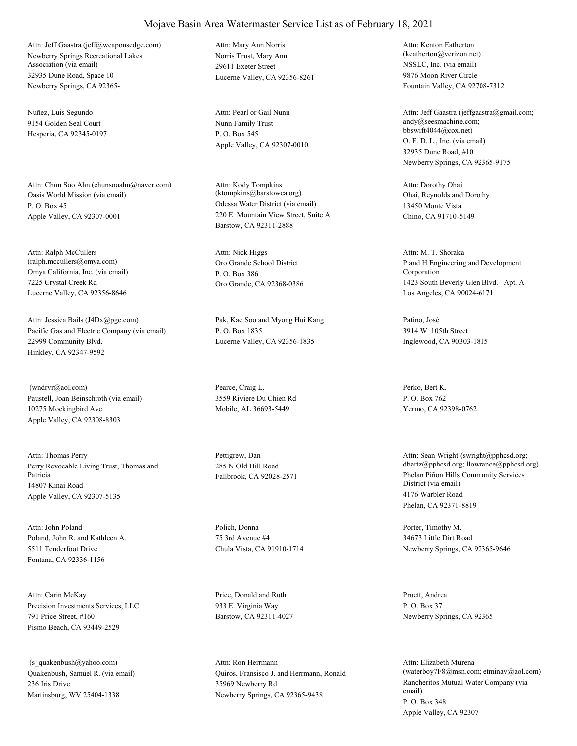Newberry Springs Recreational Lakes Association (via email) 32935 Dune Road, Space 10 Newberry Springs, CA 92365- Attn: Jeff Gaastra (jeff@weaponsedge.com)

Nuñez, Luis Segundo 9154 Golden Seal Court Hesperia, CA 92345-0197

Oasis World Mission (via email) P. O. Box 45 Apple Valley, CA 92307-0001 Attn: Chun Soo Ahn (chunsooahn@naver.com)

Omya California, Inc. (via email) 7225 Crystal Creek Rd Lucerne Valley, CA 92356-8646 Attn: Ralph McCullers (ralph.mccullers@omya.com) Oro Grande School District

Pacific Gas and Electric Company (via email) 22999 Community Blvd. Hinkley, CA 92347-9592 Attn: Jessica Bails (J4Dx@pge.com) Pak, Kae Soo and Myong Hui Kang

Paustell, Joan Beinschroth (via email) 10275 Mockingbird Ave. Apple Valley, CA 92308-8303 (wndrvr@aol.com) Pearce, Craig L.

Perry Revocable Living Trust, Thomas and Patricia 14807 Kinai Road Apple Valley, CA 92307-5135 Attn: Thomas Perry Pettigrew, Dan

Poland, John R. and Kathleen A. 5511 Tenderfoot Drive Fontana, CA 92336-1156 Attn: John Poland Polich, Donna

Precision Investments Services, LLC 791 Price Street, #160 Pismo Beach, CA 93449-2529 Attn: Carin McKay Price, Donald and Ruth

Quakenbush, Samuel R. (via email) 236 Iris Drive Martinsburg, WV 25404-1338 (s\_quakenbush@yahoo.com)

Norris Trust, Mary Ann 29611 Exeter Street Lucerne Valley, CA 92356-8261 Attn: Mary Ann Norris

Nunn Family Trust P. O. Box 545 Apple Valley, CA 92307-0010 Attn: Pearl or Gail Nunn

Odessa Water District (via email) 220 E. Mountain View Street, Suite A Barstow, CA 92311-2888 Attn: Kody Tompkins (ktompkins@barstowca.org) Ohai, Reynolds and Dorothy

P. O. Box 386 Oro Grande, CA 92368-0386 Attn: Nick Higgs

P. O. Box 1835 Lucerne Valley, CA 92356-1835

3559 Riviere Du Chien Rd Mobile, AL 36693-5449

285 N Old Hill Road

75 3rd Avenue #4 Chula Vista, CA 91910-1714

933 E. Virginia Way Barstow, CA 92311-4027

Quiros, Fransisco J. and Herrmann, Ronald 35969 Newberry Rd Newberry Springs, CA 92365-9438 Attn: Ron Herrmann

NSSLC, Inc. (via email) 9876 Moon River Circle Fountain Valley, CA 92708-7312 Attn: Kenton Eatherton (keatherton@verizon.net)

O. F. D. L., Inc. (via email) 32935 Dune Road, #10 Newberry Springs, CA 92365-9175 Attn: Jeff Gaastra (jeffgaastra@gmail.com; andy@seesmachine.com; bbswift4044@cox.net)

13450 Monte Vista Chino, CA 91710-5149 Attn: Dorothy Ohai

P and H Engineering and Development Corporation 1423 South Beverly Glen Blvd. Apt. A Los Angeles, CA 90024-6171 Attn: M. T. Shoraka

Patino, José 3914 W. 105th Street Inglewood, CA 90303-1815

Perko, Bert K. P. O. Box 762 Yermo, CA 92398-0762

Fallbrook, CA 92028-2571 Phelan Piñon Hills Community Services District (via email) 4176 Warbler Road Phelan, CA 92371-8819 Attn: Sean Wright (swright@pphcsd.org; dbartz@pphcsd.org; llowrance@pphcsd.org)

> Porter, Timothy M. 34673 Little Dirt Road Newberry Springs, CA 92365-9646

Pruett, Andrea P. O. Box 37 Newberry Springs, CA 92365

Rancheritos Mutual Water Company (via email) P. O. Box 348 Apple Valley, CA 92307 Attn: Elizabeth Murena (waterboy7F8@msn.com; etminav@aol.com)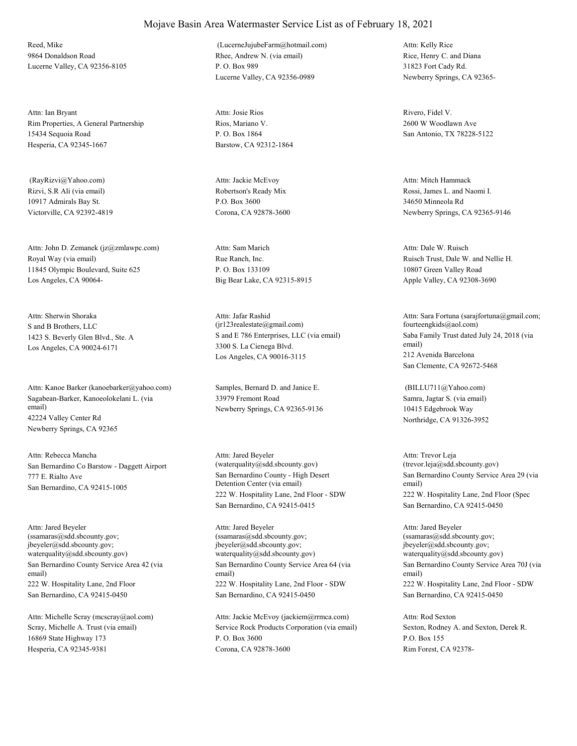Reed, Mike 9864 Donaldson Road Lucerne Valley, CA 92356-8105

Rim Properties, A General Partnership 15434 Sequoia Road Hesperia, CA 92345-1667 Attn: Ian Bryant

Rizvi, S.R Ali (via email) 10917 Admirals Bay St. Victorville, CA 92392-4819 (RayRizvi@Yahoo.com)

Royal Way (via email) 11845 Olympic Boulevard, Suite 625 Los Angeles, CA 90064- Attn: John D. Zemanek (jz@zmlawpc.com)

S and B Brothers, LLC 1423 S. Beverly Glen Blvd., Ste. A Los Angeles, CA 90024-6171 Attn: Sherwin Shoraka

Sagabean-Barker, Kanoeolokelani L. (via email) 42224 Valley Center Rd Newberry Springs, CA 92365 Attn: Kanoe Barker (kanoebarker@yahoo.com) Samples, Bernard D. and Janice E.

San Bernardino Co Barstow - Daggett Airport 777 E. Rialto Ave San Bernardino, CA 92415-1005 Attn: Rebecca Mancha

San Bernardino County Service Area 42 (via email) 222 W. Hospitality Lane, 2nd Floor San Bernardino, CA 92415-0450 Attn: Jared Beyeler (ssamaras@sdd.sbcounty.gov; jbeyeler@sdd.sbcounty.gov; waterquality@sdd.sbcounty.gov)

Scray, Michelle A. Trust (via email) 16869 State Highway 173 Hesperia, CA 92345-9381 Attn: Michelle Scray (mcscray@aol.com) Rhee, Andrew N. (via email) P. O. Box 989 Lucerne Valley, CA 92356-0989 (LucerneJujubeFarm@hotmail.com)

Rios, Mariano V. P. O. Box 1864 Barstow, CA 92312-1864 Attn: Josie Rios Rivero, Fidel V.

Robertson's Ready Mix P.O. Box 3600 Corona, CA 92878-3600 Attn: Jackie McEvoy

Rue Ranch, Inc. P. O. Box 133109 Big Bear Lake, CA 92315-8915 Attn: Sam Marich

S and E 786 Enterprises, LLC (via email) 3300 S. La Cienega Blvd. Los Angeles, CA 90016-3115 Attn: Jafar Rashid (jr123realestate@gmail.com)

33979 Fremont Road Newberry Springs, CA 92365-9136

San Bernardino County - High Desert Detention Center (via email) 222 W. Hospitality Lane, 2nd Floor - SDW San Bernardino, CA 92415-0415 Attn: Jared Beyeler (waterquality@sdd.sbcounty.gov)

San Bernardino County Service Area 64 (via email) 222 W. Hospitality Lane, 2nd Floor - SDW San Bernardino, CA 92415-0450 Attn: Jared Beyeler (ssamaras@sdd.sbcounty.gov; jbeyeler@sdd.sbcounty.gov; waterquality@sdd.sbcounty.gov)

Service Rock Products Corporation (via email) P. O. Box 3600 Corona, CA 92878-3600 Attn: Jackie McEvoy (jackiem@rrmca.com)

Rice, Henry C. and Diana 31823 Fort Cady Rd. Newberry Springs, CA 92365- Attn: Kelly Rice

2600 W Woodlawn Ave San Antonio, TX 78228-5122

Rossi, James L. and Naomi I. 34650 Minneola Rd Newberry Springs, CA 92365-9146 Attn: Mitch Hammack

Ruisch Trust, Dale W. and Nellie H. 10807 Green Valley Road Apple Valley, CA 92308-3690 Attn: Dale W. Ruisch

Saba Family Trust dated July 24, 2018 (via email) 212 Avenida Barcelona San Clemente, CA 92672-5468 Attn: Sara Fortuna (sarajfortuna@gmail.com; fourteengkids@aol.com)

Samra, Jagtar S. (via email) 10415 Edgebrook Way Northridge, CA 91326-3952 (BILLU711@Yahoo.com)

San Bernardino County Service Area 29 (via email) 222 W. Hospitality Lane, 2nd Floor (Spec San Bernardino, CA 92415-0450 Attn: Trevor Leja (trevor.leja@sdd.sbcounty.gov)

San Bernardino County Service Area 70J (via email) 222 W. Hospitality Lane, 2nd Floor - SDW San Bernardino, CA 92415-0450 Attn: Jared Beyeler (ssamaras@sdd.sbcounty.gov; jbeyeler@sdd.sbcounty.gov; waterquality@sdd.sbcounty.gov)

Sexton, Rodney A. and Sexton, Derek R. P.O. Box 155 Rim Forest, CA 92378- Attn: Rod Sexton

## Mojave Basin Area Watermaster Service List as of February 18, 2021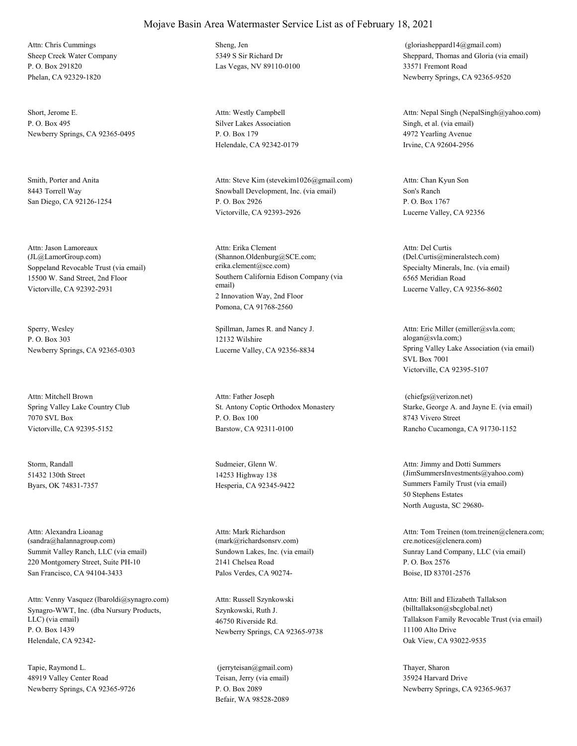Sheep Creek Water Company P. O. Box 291820 Phelan, CA 92329-1820 Attn: Chris Cummings Sheng, Jen

Short, Jerome E. P. O. Box 495 Newberry Springs, CA 92365-0495

Smith, Porter and Anita 8443 Torrell Way San Diego, CA 92126-1254

Soppeland Revocable Trust (via email) 15500 W. Sand Street, 2nd Floor Victorville, CA 92392-2931 Attn: Jason Lamoreaux (JL@LamorGroup.com)

Sperry, Wesley P. O. Box 303 Newberry Springs, CA 92365-0303

Spring Valley Lake Country Club 7070 SVL Box Victorville, CA 92395-5152 Attn: Mitchell Brown

Storm, Randall 51432 130th Street Byars, OK 74831-7357

Summit Valley Ranch, LLC (via email) 220 Montgomery Street, Suite PH-10 San Francisco, CA 94104-3433 Attn: Alexandra Lioanag (sandra@halannagroup.com)

Synagro-WWT, Inc. (dba Nursury Products, LLC) (via email) P. O. Box 1439 Helendale, CA 92342- Attn: Venny Vasquez (lbaroldi@synagro.com)

Tapie, Raymond L. 48919 Valley Center Road Newberry Springs, CA 92365-9726 5349 S Sir Richard Dr Las Vegas, NV 89110-0100

Silver Lakes Association P. O. Box 179 Helendale, CA 92342-0179 Attn: Westly Campbell

Snowball Development, Inc. (via email) P. O. Box 2926 Victorville, CA 92393-2926 Attn: Steve Kim (stevekim1026@gmail.com)

Southern California Edison Company (via email) 2 Innovation Way, 2nd Floor Pomona, CA 91768-2560 Attn: Erika Clement (Shannon.Oldenburg@SCE.com; erika.clement@sce.com) Specialty Minerals, Inc. (via email)

Spillman, James R. and Nancy J. 12132 Wilshire

St. Antony Coptic Orthodox Monastery P. O. Box 100 Barstow, CA 92311-0100 Attn: Father Joseph

Sudmeier, Glenn W. 14253 Highway 138

Sundown Lakes, Inc. (via email) 2141 Chelsea Road Palos Verdes, CA 90274- Attn: Mark Richardson (mark@richardsonsrv.com)

Szynkowski, Ruth J. 46750 Riverside Rd. Newberry Springs, CA 92365-9738 Attn: Russell Szynkowski

Teisan, Jerry (via email) P. O. Box 2089 Befair, WA 98528-2089 (jerryteisan@gmail.com) Thayer, Sharon

Sheppard, Thomas and Gloria (via email) 33571 Fremont Road Newberry Springs, CA 92365-9520 (gloriasheppard14@gmail.com)

Singh, et al. (via email) 4972 Yearling Avenue Irvine, CA 92604-2956 Attn: Nepal Singh (NepalSingh@yahoo.com)

Son's Ranch P. O. Box 1767 Lucerne Valley, CA 92356 Attn: Chan Kyun Son

6565 Meridian Road Lucerne Valley, CA 92356-8602 Attn: Del Curtis (Del.Curtis@mineralstech.com)

Lucerne Valley, CA 92356-8834 Spring Valley Lake Association (via email) SVL Box 7001 Victorville, CA 92395-5107 Attn: Eric Miller (emiller@svla.com; alogan@svla.com;)

> Starke, George A. and Jayne E. (via email) 8743 Vivero Street Rancho Cucamonga, CA 91730-1152 (chiefgs@verizon.net)

Hesperia, CA 92345-9422 Summers Family Trust (via email) 50 Stephens Estates North Augusta, SC 29680- Attn: Jimmy and Dotti Summers (JimSummersInvestments@yahoo.com)

> Sunray Land Company, LLC (via email) P. O. Box 2576 Boise, ID 83701-2576 Attn: Tom Treinen (tom.treinen@clenera.com; cre.notices@clenera.com)

Tallakson Family Revocable Trust (via email) 11100 Alto Drive Oak View, CA 93022-9535 Attn: Bill and Elizabeth Tallakson (billtallakson@sbcglobal.net)

35924 Harvard Drive Newberry Springs, CA 92365-9637

#### Mojave Basin Area Watermaster Service List as of February 18, 2021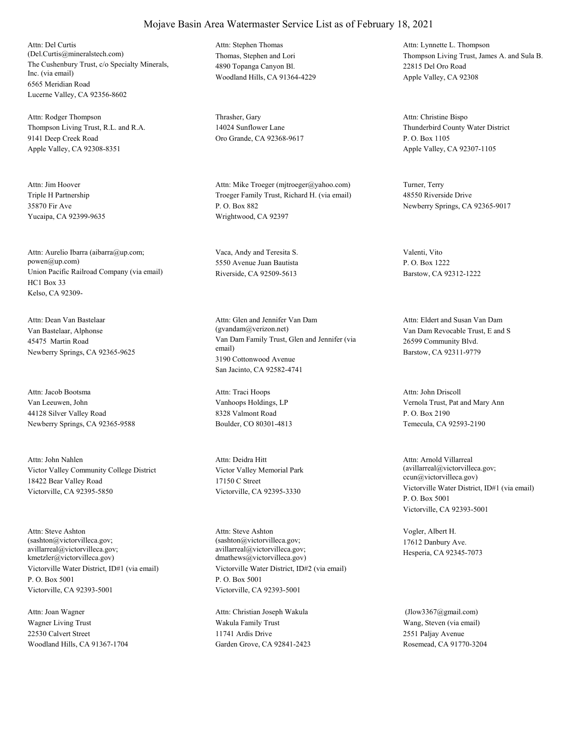The Cushenbury Trust, c/o Specialty Minerals, Inc. (via email) 6565 Meridian Road Lucerne Valley, CA 92356-8602 Attn: Del Curtis (Del.Curtis@mineralstech.com) Thomas, Stephen and Lori

Thompson Living Trust, R.L. and R.A. 9141 Deep Creek Road Apple Valley, CA 92308-8351 Attn: Rodger Thompson Thrasher, Gary

Triple H Partnership 35870 Fir Ave Yucaipa, CA 92399-9635 Attn: Jim Hoover

Union Pacific Railroad Company (via email) HC1 Box 33 Kelso, CA 92309- Attn: Aurelio Ibarra (aibarra@up.com; powen@up.com)

Van Bastelaar, Alphonse 45475 Martin Road Newberry Springs, CA 92365-9625 Attn: Dean Van Bastelaar

Van Leeuwen, John 44128 Silver Valley Road Newberry Springs, CA 92365-9588 Attn: Jacob Bootsma

Victor Valley Community College District 18422 Bear Valley Road Victorville, CA 92395-5850 Attn: John Nahlen

Victorville Water District, ID#1 (via email) P. O. Box 5001 Victorville, CA 92393-5001 Attn: Steve Ashton (sashton@victorvilleca.gov; avillarreal@victorvilleca.gov; kmetzler@victorvilleca.gov)

Wagner Living Trust 22530 Calvert Street Woodland Hills, CA 91367-1704 Attn: Joan Wagner

4890 Topanga Canyon Bl. Woodland Hills, CA 91364-4229 Attn: Stephen Thomas

14024 Sunflower Lane Oro Grande, CA 92368-9617

Troeger Family Trust, Richard H. (via email) P. O. Box 882 Wrightwood, CA 92397 Attn: Mike Troeger (mjtroeger@yahoo.com) Turner, Terry

Vaca, Andy and Teresita S. 5550 Avenue Juan Bautista Riverside, CA 92509-5613

Van Dam Family Trust, Glen and Jennifer (via email) 3190 Cottonwood Avenue San Jacinto, CA 92582-4741 Attn: Glen and Jennifer Van Dam (gvandam@verizon.net) Van Dam Revocable Trust, E and S

Vanhoops Holdings, LP 8328 Valmont Road Boulder, CO 80301-4813 Attn: Traci Hoops

Victor Valley Memorial Park 17150 C Street Victorville, CA 92395-3330 Attn: Deidra Hitt

Victorville Water District, ID#2 (via email) P. O. Box 5001 Victorville, CA 92393-5001 Attn: Steve Ashton (sashton@victorvilleca.gov; avillarreal@victorvilleca.gov; dmathews@victorvilleca.gov)

Wakula Family Trust 11741 Ardis Drive Garden Grove, CA 92841-2423 Attn: Christian Joseph Wakula

Thompson Living Trust, James A. and Sula B. 22815 Del Oro Road Apple Valley, CA 92308 Attn: Lynnette L. Thompson

Thunderbird County Water District P. O. Box 1105 Apple Valley, CA 92307-1105 Attn: Christine Bispo

48550 Riverside Drive Newberry Springs, CA 92365-9017

Valenti, Vito P. O. Box 1222 Barstow, CA 92312-1222

26599 Community Blvd. Barstow, CA 92311-9779 Attn: Eldert and Susan Van Dam

Vernola Trust, Pat and Mary Ann P. O. Box 2190 Temecula, CA 92593-2190 Attn: John Driscoll

Victorville Water District, ID#1 (via email) P. O. Box 5001 Victorville, CA 92393-5001 Attn: Arnold Villarreal (avillarreal@victorvilleca.gov; ccun@victorvilleca.gov)

Vogler, Albert H. 17612 Danbury Ave. Hesperia, CA 92345-7073

Wang, Steven (via email) 2551 Paljay Avenue Rosemead, CA 91770-3204 (Jlow3367@gmail.com)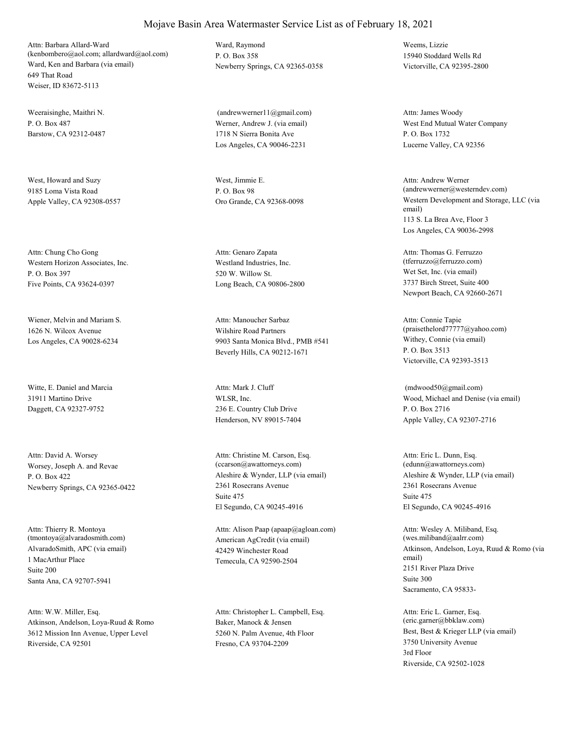Ward, Ken and Barbara (via email) 649 That Road Weiser, ID 83672-5113 Attn: Barbara Allard-Ward (kenbombero@aol.com; allardward@aol.com)

Weeraisinghe, Maithri N.  $P$ . O. Box 487 Barstow, CA 92312-0487

West, Howard and Suzy 9185 Loma Vista Road Apple Valley, CA 92308-0557

Western Horizon Associates, Inc. P. O. Box 397 Five Points, CA 93624-0397 Attn: Chung Cho Gong

Wiener, Melvin and Mariam S. 1626 N. Wilcox Avenue Los Angeles, CA 90028-6234

Witte, E. Daniel and Marcia 31911 Martino Drive Daggett, CA 92327-9752

Worsey, Joseph A. and Revae P. O. Box 422 Newberry Springs, CA 92365-0422 Attn: David A. Worsey

AlvaradoSmith, APC (via email) 1 MacArthur Place Santa Ana, CA 92707-5941 Attn: Thierry R. Montoya (tmontoya@alvaradosmith.com) Suite 200

Atkinson, Andelson, Loya-Ruud & Romo 3612 Mission Inn Avenue, Upper Level Riverside, CA 92501 Attn: W.W. Miller, Esq.

Ward, Raymond P. O. Box 358 Newberry Springs, CA 92365-0358

Werner, Andrew J. (via email) 1718 N Sierra Bonita Ave Los Angeles, CA 90046-2231 (andrewwerner11@gmail.com)

West, Jimmie E. P. O. Box 98

Westland Industries, Inc. 520 W. Willow St. Long Beach, CA 90806-2800 Attn: Genaro Zapata

Wilshire Road Partners 9903 Santa Monica Blvd., PMB #541 Beverly Hills, CA 90212-1671 Attn: Manoucher Sarbaz

WLSR, Inc. 236 E. Country Club Drive Henderson, NV 89015-7404 Attn: Mark J. Cluff

Aleshire & Wynder, LLP (via email) 2361 Rosecrans Avenue El Segundo, CA 90245-4916 Attn: Christine M. Carson, Esq. (ccarson@awattorneys.com) Suite 475

American AgCredit (via email) 42429 Winchester Road Temecula, CA 92590-2504 Attn: Alison Paap (apaap@agloan.com)

Baker, Manock & Jensen 5260 N. Palm Avenue, 4th Floor Fresno, CA 93704-2209 Attn: Christopher L. Campbell, Esq.

Weems, Lizzie 15940 Stoddard Wells Rd Victorville, CA 92395-2800

West End Mutual Water Company P. O. Box 1732 Lucerne Valley, CA 92356 Attn: James Woody

Oro Grande, CA 92368-0098 Western Development and Storage, LLC (via email) 113 S. La Brea Ave, Floor 3 Los Angeles, CA 90036-2998 Attn: Andrew Werner (andrewwerner@westerndev.com)

> Wet Set, Inc. (via email) 3737 Birch Street, Suite 400 Newport Beach, CA 92660-2671 Attn: Thomas G. Ferruzzo (tferruzzo@ferruzzo.com)

Withey, Connie (via email) P. O. Box 3513 Victorville, CA 92393-3513 Attn: Connie Tapie (praisethelord77777@yahoo.com)

Wood, Michael and Denise (via email) P. O. Box 2716 Apple Valley, CA 92307-2716 (mdwood50@gmail.com)

Aleshire & Wynder, LLP (via email) 2361 Rosecrans Avenue El Segundo, CA 90245-4916 Attn: Eric L. Dunn, Esq. (edunn@awattorneys.com) Suite 475

Atkinson, Andelson, Loya, Ruud & Romo (via email) 2151 River Plaza Drive Sacramento, CA 95833- Attn: Wesley A. Miliband, Esq. (wes.miliband@aalrr.com) Suite 300

Best, Best & Krieger LLP (via email) 3750 University Avenue Riverside, CA 92502-1028 Attn: Eric L. Garner, Esq. (eric.garner@bbklaw.com) 3rd Floor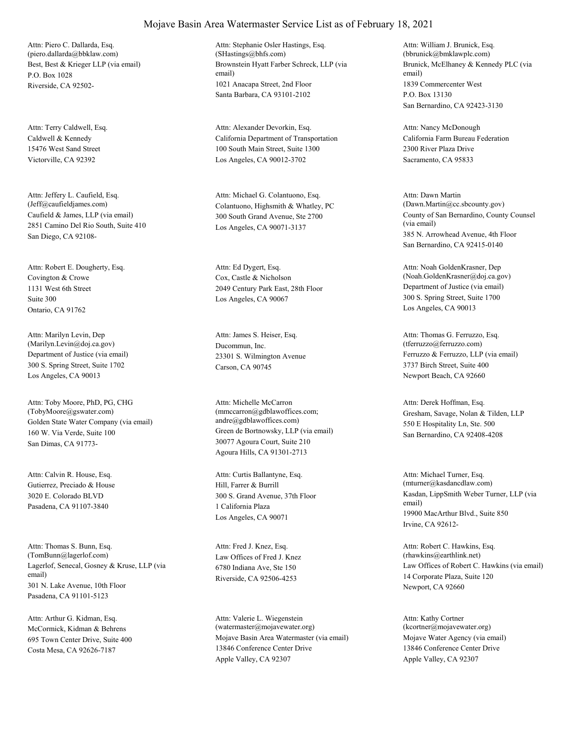Best, Best & Krieger LLP (via email) P.O. Box 1028 Riverside, CA 92502- Attn: Piero C. Dallarda, Esq. (piero.dallarda@bbklaw.com)

Caldwell & Kennedy 15476 West Sand Street Victorville, CA 92392 Attn: Terry Caldwell, Esq.

Caufield & James, LLP (via email) 2851 Camino Del Rio South, Suite 410 San Diego, CA 92108- Attn: Jeffery L. Caufield, Esq.<br>(Jeff@caufieldjames.com)

Covington & Crowe 1131 West 6th Street Ontario, CA 91762 Attn: Robert E. Dougherty, Esq. Suite 300

Department of Justice (via email) 300 S. Spring Street, Suite 1702 Los Angeles, CA 90013 Attn: Marilyn Levin, Dep (Marilyn.Levin@doj.ca.gov) Ducommun, Inc.

Golden State Water Company (via email) 160 W. Via Verde, Suite 100 San Dimas, CA 91773- Attn: Toby Moore, PhD, PG, CHG (TobyMoore@gswater.com)

Gutierrez, Preciado & House 3020 E. Colorado BLVD Pasadena, CA 91107-3840 Attn: Calvin R. House, Esq.

Lagerlof, Senecal, Gosney & Kruse, LLP (via email) 301 N. Lake Avenue, 10th Floor Pasadena, CA 91101-5123 Attn: Thomas S. Bunn, Esq. (TomBunn@lagerlof.com) Law Offices of Fred J. Knez

McCormick, Kidman & Behrens 695 Town Center Drive, Suite 400 Costa Mesa, CA 92626-7187 Attn: Arthur G. Kidman, Esq.

#### Mojave Basin Area Watermaster Service List as of February 18, 2021

Brownstein Hyatt Farber Schreck, LLP (via email) 1021 Anacapa Street, 2nd Floor Santa Barbara, CA 93101-2102 Attn: Stephanie Osler Hastings, Esq. (SHastings@bhfs.com)

California Department of Transportation 100 South Main Street, Suite 1300 Los Angeles, CA 90012-3702 Attn: Alexander Devorkin, Esq.

Colantuono, Highsmith & Whatley, PC 300 South Grand Avenue, Ste 2700 Los Angeles, CA 90071-3137 Attn: Michael G. Colantuono, Esq.

Cox, Castle & Nicholson 2049 Century Park East, 28th Floor Los Angeles, CA 90067 Attn: Ed Dygert, Esq.

23301 S. Wilmington Avenue Carson, CA 90745 Attn: James S. Heiser, Esq.

Green de Bortnowsky, LLP (via email) 30077 Agoura Court, Suite 210 Agoura Hills, CA 91301-2713 Attn: Michelle McCarron (mmccarron@gdblawoffices.com; andre@gdblawoffices.com)

Hill, Farrer & Burrill 300 S. Grand Avenue, 37th Floor Los Angeles, CA 90071 Attn: Curtis Ballantyne, Esq. 1 California Plaza

6780 Indiana Ave, Ste 150 Riverside, CA 92506-4253 Attn: Fred J. Knez, Esq.

Mojave Basin Area Watermaster (via email) 13846 Conference Center Drive Apple Valley, CA 92307 Attn: Valerie L. Wiegenstein (watermaster@mojavewater.org)

Brunick, McElhaney & Kennedy PLC (via email) 1839 Commercenter West San Bernardino, CA 92423-3130 Attn: William J. Brunick, Esq. (bbrunick@bmklawplc.com) P.O. Box 13130

California Farm Bureau Federation 2300 River Plaza Drive Sacramento, CA 95833 Attn: Nancy McDonough

County of San Bernardino, County Counsel (via email) 385 N. Arrowhead Avenue, 4th Floor San Bernardino, CA 92415-0140 Attn: Dawn Martin (Dawn.Martin@cc.sbcounty.gov)

Department of Justice (via email) 300 S. Spring Street, Suite 1700 Los Angeles, CA 90013 Attn: Noah GoldenKrasner, Dep (Noah.GoldenKrasner@doj.ca.gov)

Ferruzzo & Ferruzzo, LLP (via email) 3737 Birch Street, Suite 400 Newport Beach, CA 92660 Attn: Thomas G. Ferruzzo, Esq. (tferruzzo@ferruzzo.com)

Gresham, Savage, Nolan & Tilden, LLP 550 E Hospitality Ln, Ste. 500 San Bernardino, CA 92408-4208 Attn: Derek Hoffman, Esq.

Kasdan, LippSmith Weber Turner, LLP (via email) 19900 MacArthur Blvd., Suite 850 Irvine, CA 92612- Attn: Michael Turner, Esq. (mturner@kasdancdlaw.com)

Law Offices of Robert C. Hawkins (via email) 14 Corporate Plaza, Suite 120 Newport, CA 92660 Attn: Robert C. Hawkins, Esq. (rhawkins@earthlink.net)

Mojave Water Agency (via email) 13846 Conference Center Drive Apple Valley, CA 92307 Attn: Kathy Cortner (kcortner@mojavewater.org)